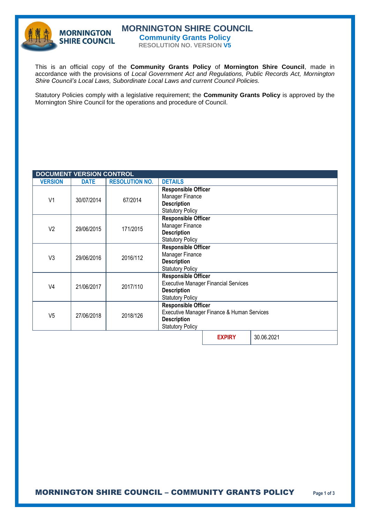

# **MORNINGTON SHIRE COUNCIL Community Grants Policy**

**RESOLUTION NO. VERSION V5**

This is an official copy of the **Community Grants Policy** of **Mornington Shire Council**, made in accordance with the provisions of *Local Government Act and Regulations, Public Records Act, Mornington Shire Council's Local Laws, Subordinate Local Laws and current Council Policies.* 

Statutory Policies comply with a legislative requirement; the **Community Grants Policy** is approved by the Mornington Shire Council for the operations and procedure of Council.

| <b>DOCUMENT VERSION CONTROL</b> |             |                       |                                                                                                                            |               |            |
|---------------------------------|-------------|-----------------------|----------------------------------------------------------------------------------------------------------------------------|---------------|------------|
| <b>VERSION</b>                  | <b>DATE</b> | <b>RESOLUTION NO.</b> | <b>DETAILS</b>                                                                                                             |               |            |
| V <sub>1</sub>                  | 30/07/2014  | 67/2014               | <b>Responsible Officer</b><br>Manager Finance<br><b>Description</b><br><b>Statutory Policy</b>                             |               |            |
| V <sub>2</sub>                  | 29/06/2015  | 171/2015              | <b>Responsible Officer</b><br>Manager Finance<br><b>Description</b><br><b>Statutory Policy</b>                             |               |            |
| V <sub>3</sub>                  | 29/06/2016  | 2016/112              | <b>Responsible Officer</b><br>Manager Finance<br><b>Description</b><br><b>Statutory Policy</b>                             |               |            |
| V <sub>4</sub>                  | 21/06/2017  | 2017/110              | <b>Responsible Officer</b><br><b>Executive Manager Financial Services</b><br><b>Description</b><br><b>Statutory Policy</b> |               |            |
| V <sub>5</sub>                  | 27/06/2018  | 2018/126              | <b>Responsible Officer</b><br>Executive Manager Finance & Human Services<br><b>Description</b><br><b>Statutory Policy</b>  |               |            |
|                                 |             |                       |                                                                                                                            | <b>EXPIRY</b> | 30.06.2021 |

MORNINGTON SHIRE COUNCIL – COMMUNITY GRANTS POLICY **Page 1 of 3**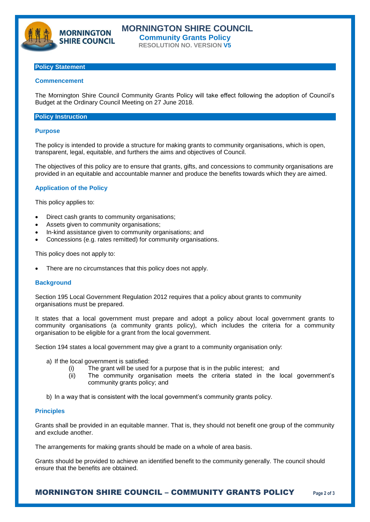

# **Policy Statement**

**MORNINGTON SHIRE COUNCIL** 

#### **Commencement**

The Mornington Shire Council Community Grants Policy will take effect following the adoption of Council's Budget at the Ordinary Council Meeting on 27 June 2018.

### **Policy Instruction**

#### **Purpose**

The policy is intended to provide a structure for making grants to community organisations, which is open, transparent, legal, equitable, and furthers the aims and objectives of Council.

The objectives of this policy are to ensure that grants, gifts, and concessions to community organisations are provided in an equitable and accountable manner and produce the benefits towards which they are aimed.

## **Application of the Policy**

This policy applies to:

- Direct cash grants to community organisations;
- Assets given to community organisations;
- In-kind assistance given to community organisations; and
- Concessions (e.g. rates remitted) for community organisations.

This policy does not apply to:

There are no circumstances that this policy does not apply.

#### **Background**

Section 195 Local Government Regulation 2012 requires that a policy about grants to community organisations must be prepared.

It states that a local government must prepare and adopt a policy about local government grants to community organisations (a community grants policy), which includes the criteria for a community organisation to be eligible for a grant from the local government.

Section 194 states a local government may give a grant to a community organisation only:

- a) If the local government is satisfied:
	- (i) The grant will be used for a purpose that is in the public interest; and
	- (ii) The community organisation meets the criteria stated in the local government's community grants policy; and

b) In a way that is consistent with the local government's community grants policy.

### **Principles**

Grants shall be provided in an equitable manner. That is, they should not benefit one group of the community and exclude another.

The arrangements for making grants should be made on a whole of area basis.

Grants should be provided to achieve an identified benefit to the community generally. The council should ensure that the benefits are obtained.

MORNINGTON SHIRE COUNCIL – COMMUNITY GRANTS POLICY **Page 2 of 3**